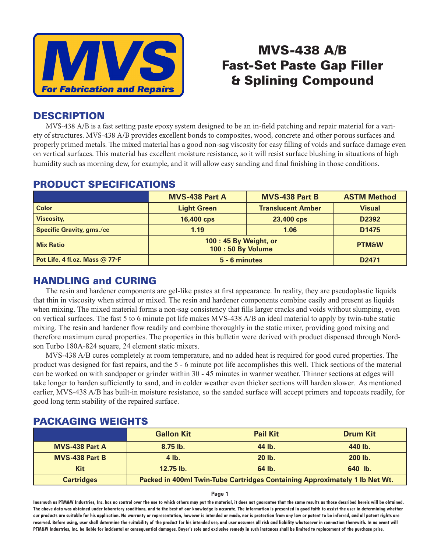

# MVS-438 A/B Fast-Set Paste Gap Filler & Splining Compound

## **DESCRIPTION**

MVS-438 A/B is a fast setting paste epoxy system designed to be an in-field patching and repair material for a variety of structures. MVS-438 A/B provides excellent bonds to composites, wood, concrete and other porous surfaces and properly primed metals. The mixed material has a good non-sag viscosity for easy filling of voids and surface damage even on vertical surfaces. This material has excellent moisture resistance, so it will resist surface blushing in situations of high humidity such as morning dew, for example, and it will allow easy sanding and final finishing in those conditions.

|                                  | <b>MVS-438 Part A</b>                      | <b>MVS-438 Part B</b>    | <b>ASTM Method</b> |
|----------------------------------|--------------------------------------------|--------------------------|--------------------|
| <b>Color</b>                     | <b>Light Green</b>                         | <b>Translucent Amber</b> | <b>Visual</b>      |
| <b>Viscosity,</b>                | 16,400 cps                                 | 23,400 cps               | D <sub>2392</sub>  |
| <b>Specific Gravity, gms./cc</b> | 1.19                                       | 1.06                     | D <sub>1475</sub>  |
| <b>Mix Ratio</b>                 | 100:45 By Weight, or<br>100 : 50 By Volume |                          | <b>PTM&amp;W</b>   |
| Pot Life, 4 fl.oz. Mass $@$ 77°F | 5 - 6 minutes                              |                          | D <sub>2471</sub>  |

#### PRODUCT SPECIFICATIONS

# HANDLING and CURING

 The resin and hardener components are gel-like pastes at first appearance. In reality, they are pseudoplastic liquids that thin in viscosity when stirred or mixed. The resin and hardener components combine easily and present as liquids when mixing. The mixed material forms a non-sag consistency that fills larger cracks and voids without slumping, even on vertical surfaces. The fast 5 to 6 minute pot life makes MVS-438 A/B an ideal material to apply by twin-tube static mixing. The resin and hardener flow readily and combine thoroughly in the static mixer, providing good mixing and therefore maximum cured properties. The properties in this bulletin were derived with product dispensed through Nordson Turbo 180A-824 square, 24 element static mixers.

 MVS-438 A/B cures completely at room temperature, and no added heat is required for good cured properties. The product was designed for fast repairs, and the 5 - 6 minute pot life accomplishes this well. Thick sections of the material can be worked on with sandpaper or grinder within 30 - 45 minutes in warmer weather. Thinner sections at edges will take longer to harden sufficiently to sand, and in colder weather even thicker sections will harden slower. As mentioned earlier, MVS-438 A/B has built-in moisture resistance, so the sanded surface will accept primers and topcoats readily, for good long term stability of the repaired surface.

|                       | <b>Gallon Kit</b>                                                          | <b>Pail Kit</b> | <b>Drum Kit</b> |
|-----------------------|----------------------------------------------------------------------------|-----------------|-----------------|
| <b>MVS-438 Part A</b> | $8.75$ lb.                                                                 | 44 lb.          | 440 lb.         |
| <b>MVS-438 Part B</b> | $4$ lb.                                                                    | 20 lb.          | 200 lb.         |
| <b>Kit</b>            | $12.75$ lb.                                                                | 64 lb.          | 640 lb.         |
| <b>Cartridges</b>     | Packed in 400ml Twin-Tube Cartridges Containing Approximately 1 lb Net Wt. |                 |                 |

### PACKAGING WEIGHTS

#### **Page 1**

**Inasmuch as PTM&W Industries, Inc. has no control over the use to which others may put the material, it does not guarantee that the same results as those described hereis will be obtained. The above data was obtained under laboratory conditions, and to the best of our knowledge is accurate. The information is presented in good faith to assist the user in determining whether our products are suitable for his application. No warranty or representation, however is intended or made, nor is protection from any law or patent to be inferred, and all patent rights are**  reserved. Before using, user shall determine the suitability of the product for his intended use, and user assumes all risk and liability whatsoever in connection therewith. In no event will **PTM&W Industries, Inc. be liable for incidental or consequential damages. Buyer's sole and exclusive remedy in such instances shall be limited to replacement of the purchase price.**